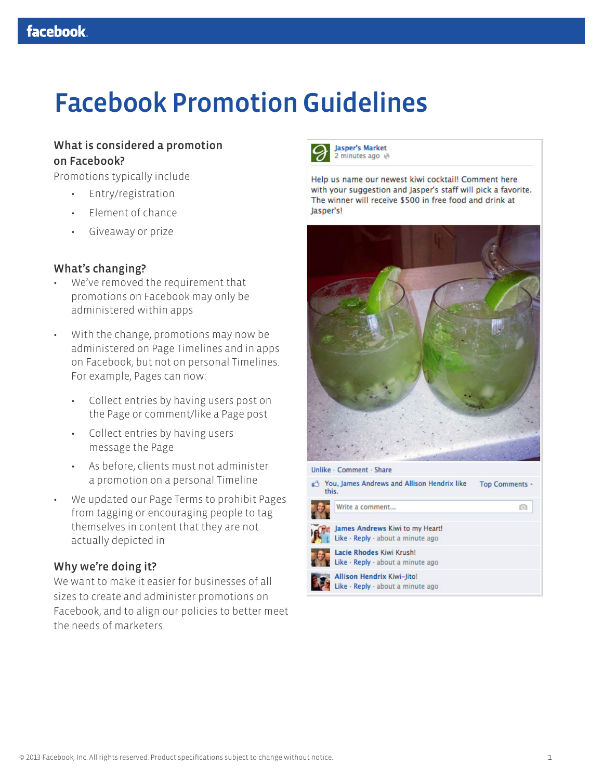# Facebook Promotion Guidelines

### What is considered a promotion on Facebook?

Promotions typically include:

- Entry/registration
- Element of chance
- Giveaway or prize

#### What's changing?

- We've removed the requirement that promotions on Facebook may only be administered within apps
- With the change, promotions may now be administered on Page Timelines and in apps on Facebook, but not on personal Timelines. For example, Pages can now:
	- Collect entries by having users post on the Page or comment/like a Page post
	- Collect entries by having users message the Page
	- As before, clients must not administer a promotion on a personal Timeline
- We updated our Page Terms to prohibit Pages from tagging or encouraging people to tag themselves in content that they are not actually depicted in

#### Why we're doing it?

We want to make it easier for businesses of all sizes to create and administer promotions on Facebook, and to align our policies to better meet the needs of marketers.



Help us name our newest kiwi cocktail! Comment here with your suggestion and Jasper's staff will pick a favorite. The winner will receive \$500 in free food and drink at Jasper's!



| You, James Andrews and Allison Hendrix like<br>this. |                                                                        | <b>Top Comments -</b> |
|------------------------------------------------------|------------------------------------------------------------------------|-----------------------|
|                                                      | Write a comment                                                        | $\lceil 0 \rceil$     |
|                                                      | James Andrews Kiwi to my Heart!<br>Like · Reply · about a minute ago   |                       |
|                                                      | Lacie Rhodes Kiwi Krush!<br>Like · Reply · about a minute ago          |                       |
|                                                      | <b>Allison Hendrix Kiwi-Jito!</b><br>Like · Reply · about a minute ago |                       |